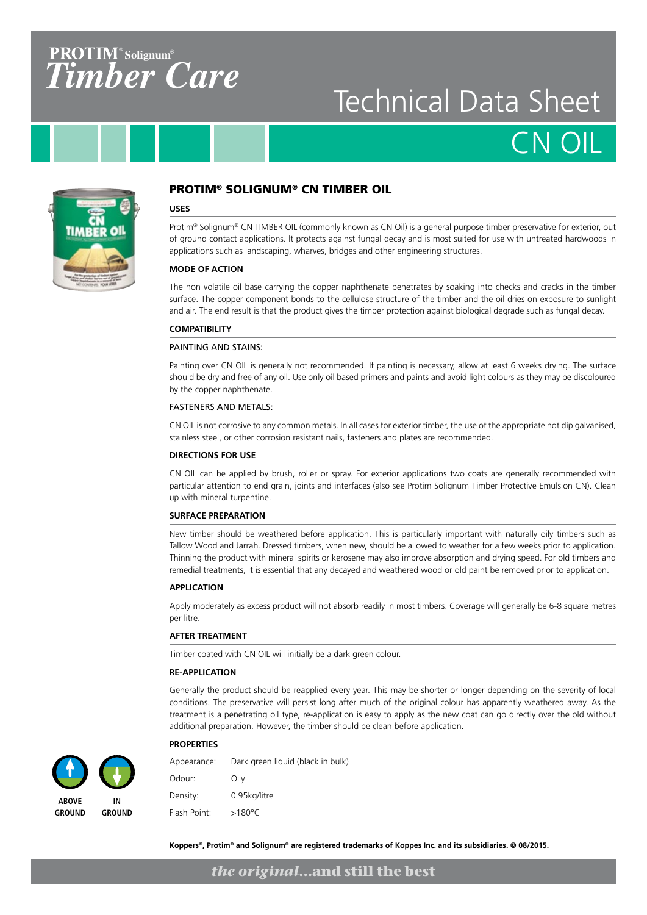### **PROTIM**<sup>®</sup> Solignum<sup>®</sup> *TimberCare*

## Technical Data Sheet

CN OIL



#### PROTIM® SOLIGNUM® CN TIMBER OIL

#### **USES**

Protim® Solignum® CN TIMBER OIL (commonly known as CN Oil) is a general purpose timber preservative for exterior, out of ground contact applications. It protects against fungal decay and is most suited for use with untreated hardwoods in applications such as landscaping, wharves, bridges and other engineering structures.

#### **MODE OF ACTION**

The non volatile oil base carrying the copper naphthenate penetrates by soaking into checks and cracks in the timber surface. The copper component bonds to the cellulose structure of the timber and the oil dries on exposure to sunlight and air. The end result is that the product gives the timber protection against biological degrade such as fungal decay.

#### **COMPATIBILITY**

#### PAINTING AND STAINS:

Painting over CN OIL is generally not recommended. If painting is necessary, allow at least 6 weeks drying. The surface should be dry and free of any oil. Use only oil based primers and paints and avoid light colours as they may be discoloured by the copper naphthenate.

#### FASTENERS AND METALS:

CN OIL is not corrosive to any common metals. In all cases for exterior timber, the use of the appropriate hot dip galvanised, stainless steel, or other corrosion resistant nails, fasteners and plates are recommended.

#### **DIRECTIONS FOR USE**

CN OIL can be applied by brush, roller or spray. For exterior applications two coats are generally recommended with particular attention to end grain, joints and interfaces (also see Protim Solignum Timber Protective Emulsion CN). Clean up with mineral turpentine.

#### **SURFACE PREPARATION**

New timber should be weathered before application. This is particularly important with naturally oily timbers such as Tallow Wood and Jarrah. Dressed timbers, when new, should be allowed to weather for a few weeks prior to application. Thinning the product with mineral spirits or kerosene may also improve absorption and drying speed. For old timbers and remedial treatments, it is essential that any decayed and weathered wood or old paint be removed prior to application.

#### **APPLICATION**

Apply moderately as excess product will not absorb readily in most timbers. Coverage will generally be 6-8 square metres per litre.

#### **AFTER TREATMENT**

Timber coated with CN OIL will initially be a dark green colour.

#### **RE-APPLICATION**

Generally the product should be reapplied every year. This may be shorter or longer depending on the severity of local conditions. The preservative will persist long after much of the original colour has apparently weathered away. As the treatment is a penetrating oil type, re-application is easy to apply as the new coat can go directly over the old without additional preparation. However, the timber should be clean before application.



**IN GROUND**



Appearance: Dark green liquid (black in bulk) Odour: Oily Density: 0.95kg/litre Flash Point: >180°C

**ABOVE GROUND**

**Koppers®, Protim® and Solignum® are registered trademarks of Koppes Inc. and its subsidiaries. © 08/2015.**